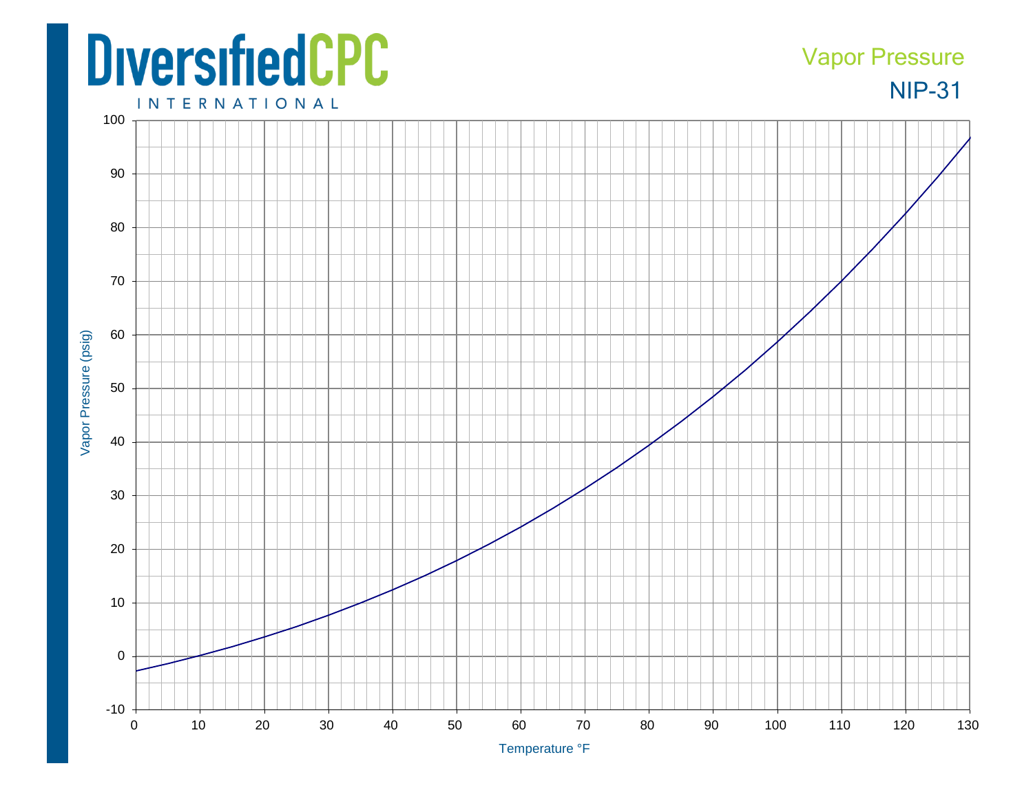## **DiversifiedCPC**

## NIP-31 Vapor Pressure

**INTERNATIONAL**